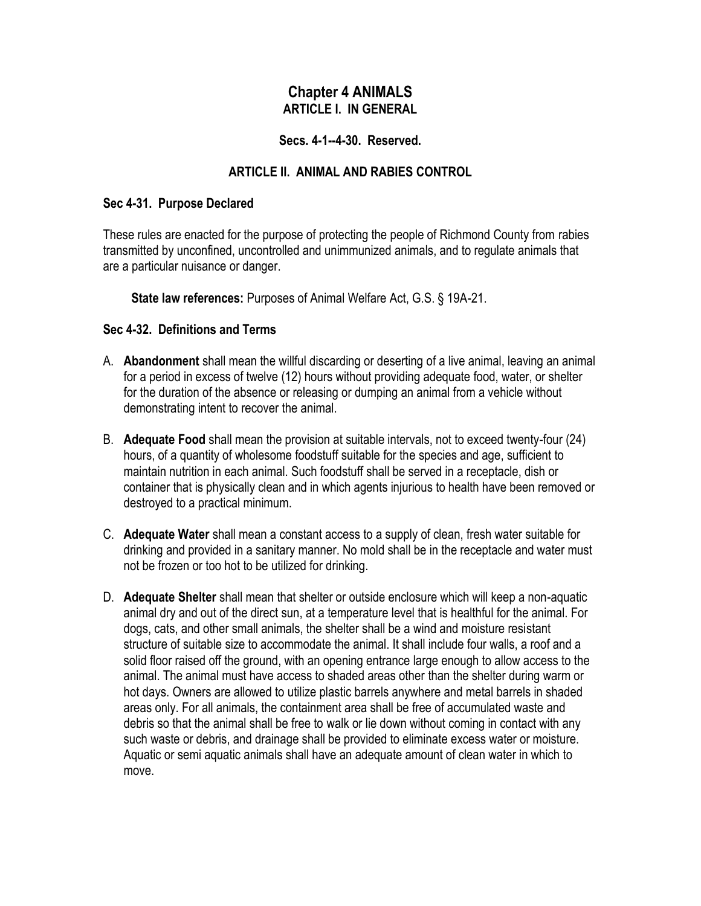# **Chapter 4 ANIMALS ARTICLE I. IN GENERAL**

### **Secs. 4-1--4-30. Reserved.**

# **ARTICLE II. ANIMAL AND RABIES CONTROL**

#### **Sec 4-31. Purpose Declared**

These rules are enacted for the purpose of protecting the people of Richmond County from rabies transmitted by unconfined, uncontrolled and unimmunized animals, and to regulate animals that are a particular nuisance or danger.

**State law references:** Purposes of Animal Welfare Act, G.S. § 19A-21.

### **Sec 4-32. Definitions and Terms**

- A. **Abandonment** shall mean the willful discarding or deserting of a live animal, leaving an animal for a period in excess of twelve (12) hours without providing adequate food, water, or shelter for the duration of the absence or releasing or dumping an animal from a vehicle without demonstrating intent to recover the animal.
- B. **Adequate Food** shall mean the provision at suitable intervals, not to exceed twenty-four (24) hours, of a quantity of wholesome foodstuff suitable for the species and age, sufficient to maintain nutrition in each animal. Such foodstuff shall be served in a receptacle, dish or container that is physically clean and in which agents injurious to health have been removed or destroyed to a practical minimum.
- C. **Adequate Water** shall mean a constant access to a supply of clean, fresh water suitable for drinking and provided in a sanitary manner. No mold shall be in the receptacle and water must not be frozen or too hot to be utilized for drinking.
- D. **Adequate Shelter** shall mean that shelter or outside enclosure which will keep a non-aquatic animal dry and out of the direct sun, at a temperature level that is healthful for the animal. For dogs, cats, and other small animals, the shelter shall be a wind and moisture resistant structure of suitable size to accommodate the animal. It shall include four walls, a roof and a solid floor raised off the ground, with an opening entrance large enough to allow access to the animal. The animal must have access to shaded areas other than the shelter during warm or hot days. Owners are allowed to utilize plastic barrels anywhere and metal barrels in shaded areas only. For all animals, the containment area shall be free of accumulated waste and debris so that the animal shall be free to walk or lie down without coming in contact with any such waste or debris, and drainage shall be provided to eliminate excess water or moisture. Aquatic or semi aquatic animals shall have an adequate amount of clean water in which to move.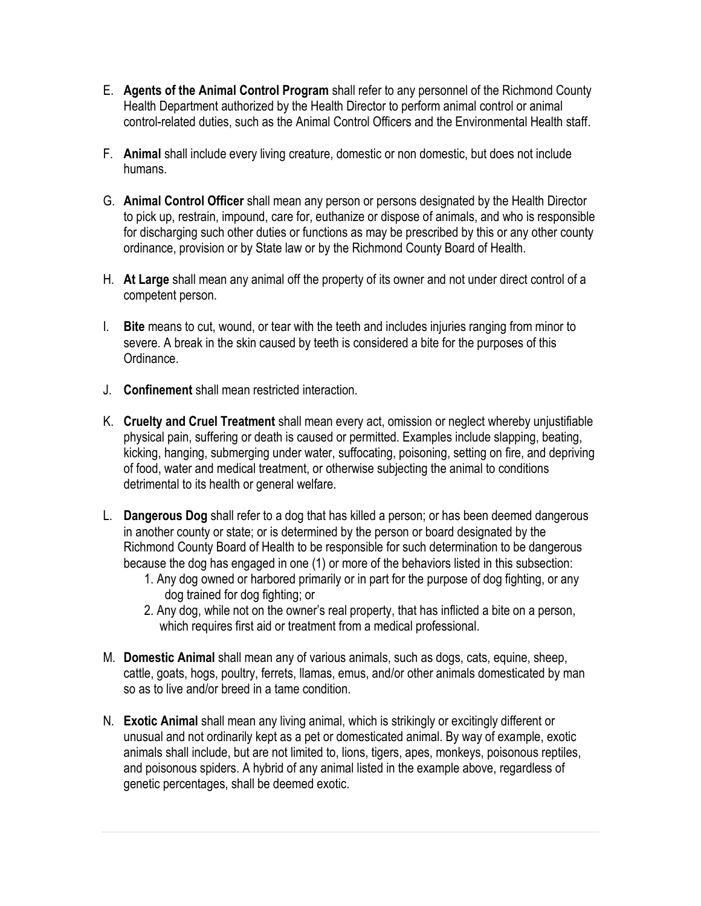- E. **Agents of the Animal Control Program** shall refer to any personnel of the Richmond County Health Department authorized by the Health Director to perform animal control or animal control-related duties, such as the Animal Control Officers and the Environmental Health staff.
- F. **Animal** shall include every living creature, domestic or non domestic, but does not include humans.
- G. **Animal Control Officer** shall mean any person or persons designated by the Health Director to pick up, restrain, impound, care for, euthanize or dispose of animals, and who is responsible for discharging such other duties or functions as may be prescribed by this or any other county ordinance, provision or by State law or by the Richmond County Board of Health.
- H. **At Large** shall mean any animal off the property of its owner and not under direct control of a competent person.
- I. **Bite** means to cut, wound, or tear with the teeth and includes injuries ranging from minor to severe. A break in the skin caused by teeth is considered a bite for the purposes of this Ordinance.
- J. **Confinement** shall mean restricted interaction.
- K. **Cruelty and Cruel Treatment** shall mean every act, omission or neglect whereby unjustifiable physical pain, suffering or death is caused or permitted. Examples include slapping, beating, kicking, hanging, submerging under water, suffocating, poisoning, setting on fire, and depriving of food, water and medical treatment, or otherwise subjecting the animal to conditions detrimental to its health or general welfare.
- L. **Dangerous Dog** shall refer to a dog that has killed a person; or has been deemed dangerous in another county or state; or is determined by the person or board designated by the Richmond County Board of Health to be responsible for such determination to be dangerous because the dog has engaged in one (1) or more of the behaviors listed in this subsection:
	- 1. Any dog owned or harbored primarily or in part for the purpose of dog fighting, or any dog trained for dog fighting; or
	- 2. Any dog, while not on the owner's real property, that has inflicted a bite on a person, which requires first aid or treatment from a medical professional.
- M. **Domestic Animal** shall mean any of various animals, such as dogs, cats, equine, sheep, cattle, goats, hogs, poultry, ferrets, llamas, emus, and/or other animals domesticated by man so as to live and/or breed in a tame condition.
- N. **Exotic Animal** shall mean any living animal, which is strikingly or excitingly different or unusual and not ordinarily kept as a pet or domesticated animal. By way of example, exotic animals shall include, but are not limited to, lions, tigers, apes, monkeys, poisonous reptiles, and poisonous spiders. A hybrid of any animal listed in the example above, regardless of genetic percentages, shall be deemed exotic.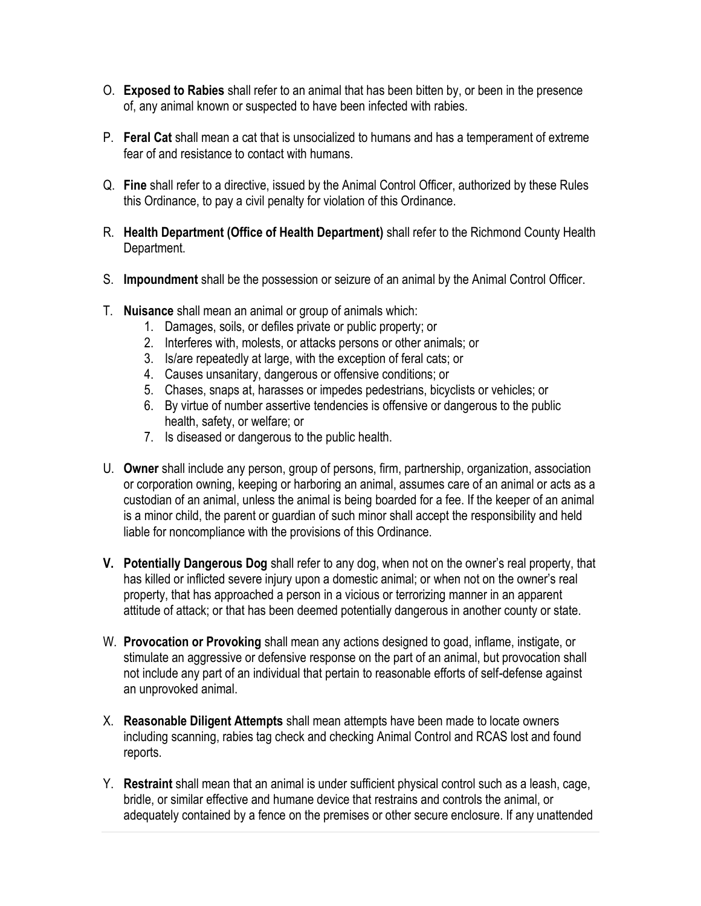- O. **Exposed to Rabies** shall refer to an animal that has been bitten by, or been in the presence of, any animal known or suspected to have been infected with rabies.
- P. **Feral Cat** shall mean a cat that is unsocialized to humans and has a temperament of extreme fear of and resistance to contact with humans.
- Q. **Fine** shall refer to a directive, issued by the Animal Control Officer, authorized by these Rules this Ordinance, to pay a civil penalty for violation of this Ordinance.
- R. **Health Department (Office of Health Department)** shall refer to the Richmond County Health Department.
- S. **Impoundment** shall be the possession or seizure of an animal by the Animal Control Officer.
- T. **Nuisance** shall mean an animal or group of animals which:
	- 1. Damages, soils, or defiles private or public property; or
	- 2. Interferes with, molests, or attacks persons or other animals; or
	- 3. Is/are repeatedly at large, with the exception of feral cats; or
	- 4. Causes unsanitary, dangerous or offensive conditions; or
	- 5. Chases, snaps at, harasses or impedes pedestrians, bicyclists or vehicles; or
	- 6. By virtue of number assertive tendencies is offensive or dangerous to the public health, safety, or welfare; or
	- 7. Is diseased or dangerous to the public health.
- U. **Owner** shall include any person, group of persons, firm, partnership, organization, association or corporation owning, keeping or harboring an animal, assumes care of an animal or acts as a custodian of an animal, unless the animal is being boarded for a fee. If the keeper of an animal is a minor child, the parent or guardian of such minor shall accept the responsibility and held liable for noncompliance with the provisions of this Ordinance.
- **V. Potentially Dangerous Dog** shall refer to any dog, when not on the owner's real property, that has killed or inflicted severe injury upon a domestic animal; or when not on the owner's real property, that has approached a person in a vicious or terrorizing manner in an apparent attitude of attack; or that has been deemed potentially dangerous in another county or state.
- W. **Provocation or Provoking** shall mean any actions designed to goad, inflame, instigate, or stimulate an aggressive or defensive response on the part of an animal, but provocation shall not include any part of an individual that pertain to reasonable efforts of self-defense against an unprovoked animal.
- X. **Reasonable Diligent Attempts** shall mean attempts have been made to locate owners including scanning, rabies tag check and checking Animal Control and RCAS lost and found reports.
- Y. **Restraint** shall mean that an animal is under sufficient physical control such as a leash, cage, bridle, or similar effective and humane device that restrains and controls the animal, or adequately contained by a fence on the premises or other secure enclosure. If any unattended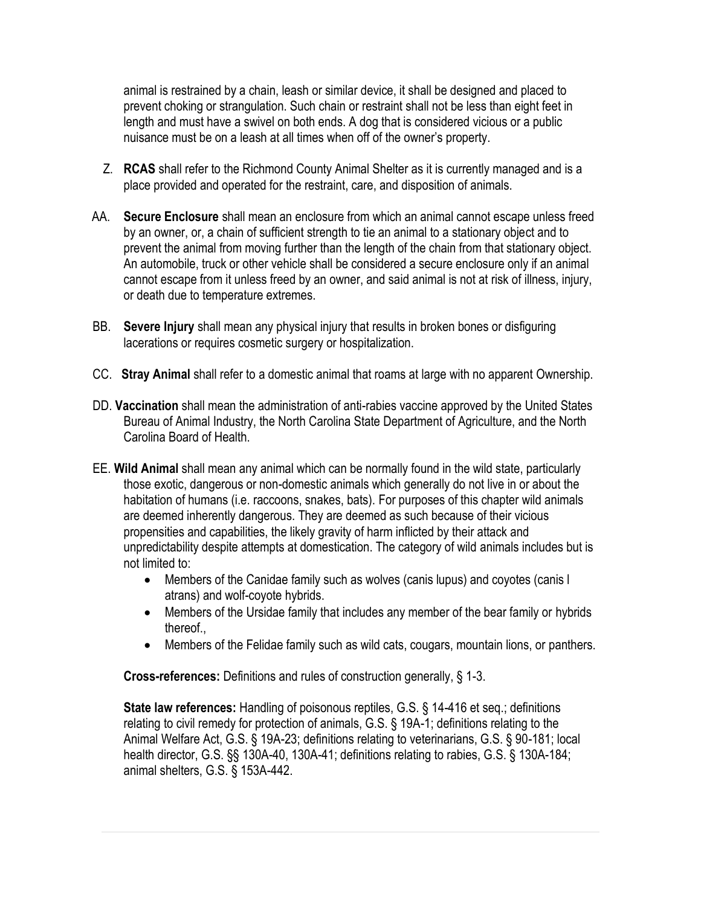animal is restrained by a chain, leash or similar device, it shall be designed and placed to prevent choking or strangulation. Such chain or restraint shall not be less than eight feet in length and must have a swivel on both ends. A dog that is considered vicious or a public nuisance must be on a leash at all times when off of the owner's property.

- Z. **RCAS** shall refer to the Richmond County Animal Shelter as it is currently managed and is a place provided and operated for the restraint, care, and disposition of animals.
- AA. **Secure Enclosure** shall mean an enclosure from which an animal cannot escape unless freed by an owner, or, a chain of sufficient strength to tie an animal to a stationary object and to prevent the animal from moving further than the length of the chain from that stationary object. An automobile, truck or other vehicle shall be considered a secure enclosure only if an animal cannot escape from it unless freed by an owner, and said animal is not at risk of illness, injury, or death due to temperature extremes.
- BB. **Severe Injury** shall mean any physical injury that results in broken bones or disfiguring lacerations or requires cosmetic surgery or hospitalization.
- CC. **Stray Animal** shall refer to a domestic animal that roams at large with no apparent Ownership.
- DD. **Vaccination** shall mean the administration of anti-rabies vaccine approved by the United States Bureau of Animal Industry, the North Carolina State Department of Agriculture, and the North Carolina Board of Health.
- EE. **Wild Animal** shall mean any animal which can be normally found in the wild state, particularly those exotic, dangerous or non-domestic animals which generally do not live in or about the habitation of humans (i.e. raccoons, snakes, bats). For purposes of this chapter wild animals are deemed inherently dangerous. They are deemed as such because of their vicious propensities and capabilities, the likely gravity of harm inflicted by their attack and unpredictability despite attempts at domestication. The category of wild animals includes but is not limited to:
	- Members of the Canidae family such as wolves (canis lupus) and coyotes (canis I atrans) and wolf-coyote hybrids.
	- Members of the Ursidae family that includes any member of the bear family or hybrids thereof.,
	- Members of the Felidae family such as wild cats, cougars, mountain lions, or panthers.

**Cross-references:** Definitions and rules of construction generally, § 1-3.

**State law references:** Handling of poisonous reptiles, G.S. § 14-416 et seq.; definitions relating to civil remedy for protection of animals, G.S. § 19A-1; definitions relating to the Animal Welfare Act, G.S. § 19A-23; definitions relating to veterinarians, G.S. § 90-181; local health director, G.S. §§ 130A-40, 130A-41; definitions relating to rabies, G.S. § 130A-184; animal shelters, G.S. § 153A-442.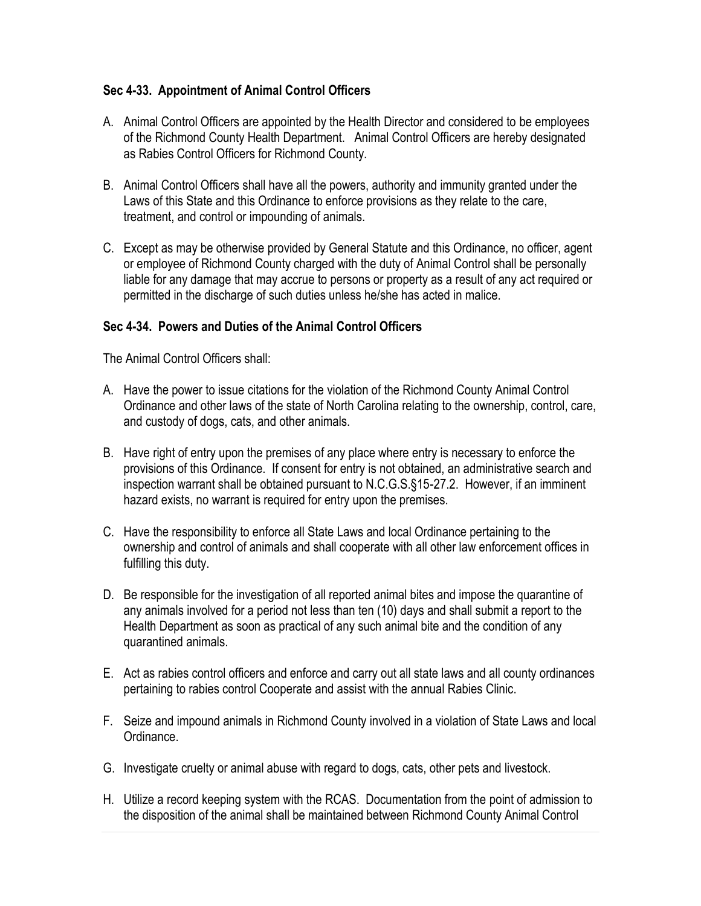### **Sec 4-33. Appointment of Animal Control Officers**

- A. Animal Control Officers are appointed by the Health Director and considered to be employees of the Richmond County Health Department. Animal Control Officers are hereby designated as Rabies Control Officers for Richmond County.
- B. Animal Control Officers shall have all the powers, authority and immunity granted under the Laws of this State and this Ordinance to enforce provisions as they relate to the care, treatment, and control or impounding of animals.
- C. Except as may be otherwise provided by General Statute and this Ordinance, no officer, agent or employee of Richmond County charged with the duty of Animal Control shall be personally liable for any damage that may accrue to persons or property as a result of any act required or permitted in the discharge of such duties unless he/she has acted in malice.

### **Sec 4-34. Powers and Duties of the Animal Control Officers**

The Animal Control Officers shall:

- A. Have the power to issue citations for the violation of the Richmond County Animal Control Ordinance and other laws of the state of North Carolina relating to the ownership, control, care, and custody of dogs, cats, and other animals.
- B. Have right of entry upon the premises of any place where entry is necessary to enforce the provisions of this Ordinance. If consent for entry is not obtained, an administrative search and inspection warrant shall be obtained pursuant to N.C.G.S.§15-27.2. However, if an imminent hazard exists, no warrant is required for entry upon the premises.
- C. Have the responsibility to enforce all State Laws and local Ordinance pertaining to the ownership and control of animals and shall cooperate with all other law enforcement offices in fulfilling this duty.
- D. Be responsible for the investigation of all reported animal bites and impose the quarantine of any animals involved for a period not less than ten (10) days and shall submit a report to the Health Department as soon as practical of any such animal bite and the condition of any quarantined animals.
- E. Act as rabies control officers and enforce and carry out all state laws and all county ordinances pertaining to rabies control Cooperate and assist with the annual Rabies Clinic.
- F. Seize and impound animals in Richmond County involved in a violation of State Laws and local Ordinance.
- G. Investigate cruelty or animal abuse with regard to dogs, cats, other pets and livestock.
- H. Utilize a record keeping system with the RCAS. Documentation from the point of admission to the disposition of the animal shall be maintained between Richmond County Animal Control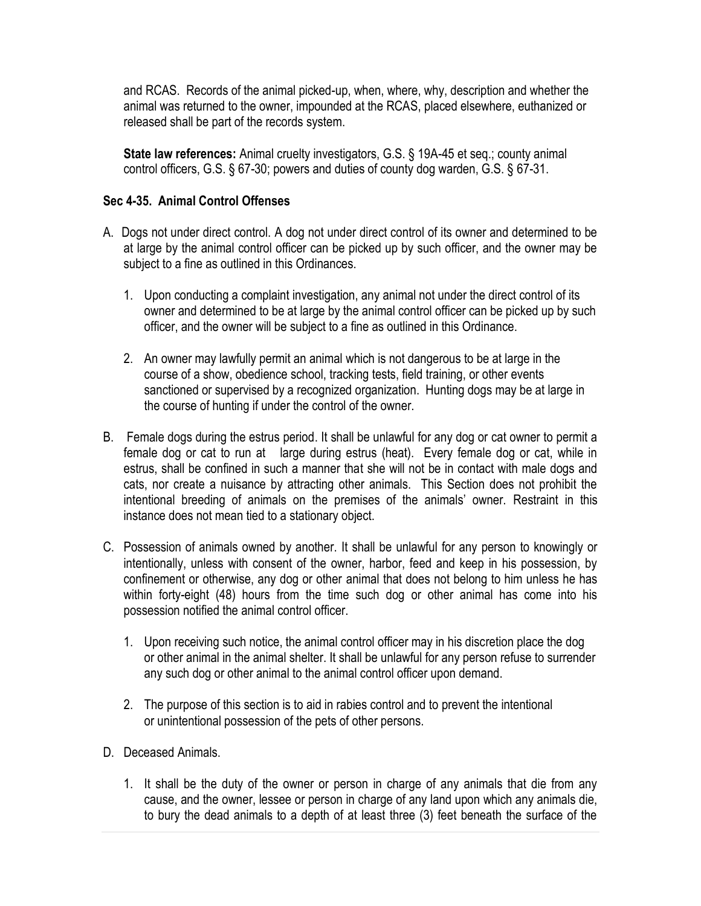and RCAS. Records of the animal picked-up, when, where, why, description and whether the animal was returned to the owner, impounded at the RCAS, placed elsewhere, euthanized or released shall be part of the records system.

**State law references:** Animal cruelty investigators, G.S. § 19A-45 et seq.; county animal control officers, G.S. § 67-30; powers and duties of county dog warden, G.S. § 67-31.

#### **Sec 4-35. Animal Control Offenses**

- A. Dogs not under direct control. A dog not under direct control of its owner and determined to be at large by the animal control officer can be picked up by such officer, and the owner may be subject to a fine as outlined in this Ordinances.
	- 1. Upon conducting a complaint investigation, any animal not under the direct control of its owner and determined to be at large by the animal control officer can be picked up by such officer, and the owner will be subject to a fine as outlined in this Ordinance.
	- 2. An owner may lawfully permit an animal which is not dangerous to be at large in the course of a show, obedience school, tracking tests, field training, or other events sanctioned or supervised by a recognized organization. Hunting dogs may be at large in the course of hunting if under the control of the owner.
- B. Female dogs during the estrus period. It shall be unlawful for any dog or cat owner to permit a female dog or cat to run at large during estrus (heat). Every female dog or cat, while in estrus, shall be confined in such a manner that she will not be in contact with male dogs and cats, nor create a nuisance by attracting other animals. This Section does not prohibit the intentional breeding of animals on the premises of the animals' owner. Restraint in this instance does not mean tied to a stationary object.
- C. Possession of animals owned by another. It shall be unlawful for any person to knowingly or intentionally, unless with consent of the owner, harbor, feed and keep in his possession, by confinement or otherwise, any dog or other animal that does not belong to him unless he has within forty-eight (48) hours from the time such dog or other animal has come into his possession notified the animal control officer.
	- 1. Upon receiving such notice, the animal control officer may in his discretion place the dog or other animal in the animal shelter. It shall be unlawful for any person refuse to surrender any such dog or other animal to the animal control officer upon demand.
	- 2. The purpose of this section is to aid in rabies control and to prevent the intentional or unintentional possession of the pets of other persons.
- D. Deceased Animals.
	- 1. It shall be the duty of the owner or person in charge of any animals that die from any cause, and the owner, lessee or person in charge of any land upon which any animals die, to bury the dead animals to a depth of at least three (3) feet beneath the surface of the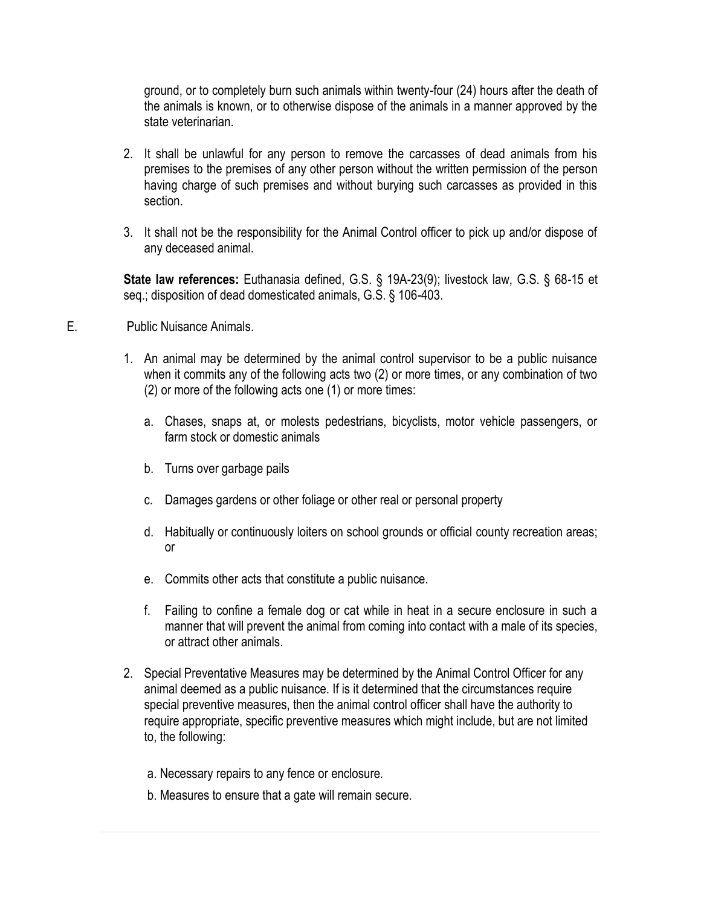ground, or to completely burn such animals within twenty-four (24) hours after the death of the animals is known, or to otherwise dispose of the animals in a manner approved by the state veterinarian.

- 2. It shall be unlawful for any person to remove the carcasses of dead animals from his premises to the premises of any other person without the written permission of the person having charge of such premises and without burying such carcasses as provided in this section.
- 3. It shall not be the responsibility for the Animal Control officer to pick up and/or dispose of any deceased animal.

**State law references:** Euthanasia defined, G.S. § 19A-23(9); livestock law, G.S. § 68-15 et seq.; disposition of dead domesticated animals, G.S. § 106-403.

- E. Public Nuisance Animals.
	- 1. An animal may be determined by the animal control supervisor to be a public nuisance when it commits any of the following acts two (2) or more times, or any combination of two (2) or more of the following acts one (1) or more times:
		- a. Chases, snaps at, or molests pedestrians, bicyclists, motor vehicle passengers, or farm stock or domestic animals
		- b. Turns over garbage pails
		- c. Damages gardens or other foliage or other real or personal property
		- d. Habitually or continuously loiters on school grounds or official county recreation areas; or
		- e. Commits other acts that constitute a public nuisance.
		- f. Failing to confine a female dog or cat while in heat in a secure enclosure in such a manner that will prevent the animal from coming into contact with a male of its species, or attract other animals.
	- 2. Special Preventative Measures may be determined by the Animal Control Officer for any animal deemed as a public nuisance. If is it determined that the circumstances require special preventive measures, then the animal control officer shall have the authority to require appropriate, specific preventive measures which might include, but are not limited to, the following:
		- a. Necessary repairs to any fence or enclosure.
		- b. Measures to ensure that a gate will remain secure.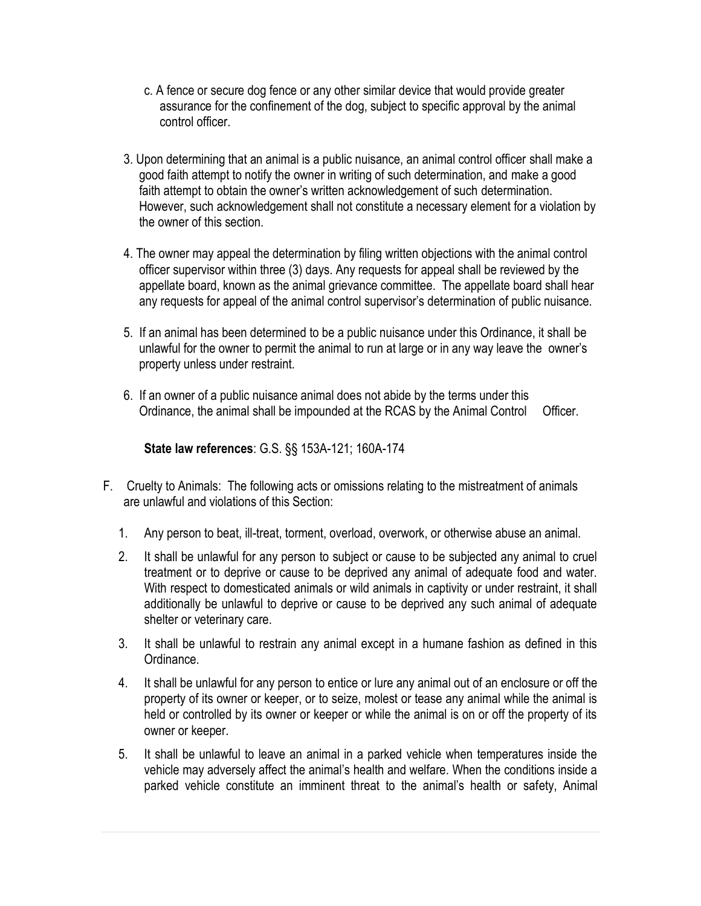- c. A fence or secure dog fence or any other similar device that would provide greater assurance for the confinement of the dog, subject to specific approval by the animal control officer.
- 3. Upon determining that an animal is a public nuisance, an animal control officer shall make a good faith attempt to notify the owner in writing of such determination, and make a good faith attempt to obtain the owner's written acknowledgement of such determination. However, such acknowledgement shall not constitute a necessary element for a violation by the owner of this section.
- 4. The owner may appeal the determination by filing written objections with the animal control officer supervisor within three (3) days. Any requests for appeal shall be reviewed by the appellate board, known as the animal grievance committee. The appellate board shall hear any requests for appeal of the animal control supervisor's determination of public nuisance.
- 5. If an animal has been determined to be a public nuisance under this Ordinance, it shall be unlawful for the owner to permit the animal to run at large or in any way leave the owner's property unless under restraint.
- 6. If an owner of a public nuisance animal does not abide by the terms under this Ordinance, the animal shall be impounded at the RCAS by the Animal Control Officer.

**State law references**: G.S. §§ 153A-121; 160A-174

- F. Cruelty to Animals: The following acts or omissions relating to the mistreatment of animals are unlawful and violations of this Section:
	- 1. Any person to beat, ill-treat, torment, overload, overwork, or otherwise abuse an animal.
	- 2. It shall be unlawful for any person to subject or cause to be subjected any animal to cruel treatment or to deprive or cause to be deprived any animal of adequate food and water. With respect to domesticated animals or wild animals in captivity or under restraint, it shall additionally be unlawful to deprive or cause to be deprived any such animal of adequate shelter or veterinary care.
	- 3. It shall be unlawful to restrain any animal except in a humane fashion as defined in this Ordinance.
	- 4. It shall be unlawful for any person to entice or lure any animal out of an enclosure or off the property of its owner or keeper, or to seize, molest or tease any animal while the animal is held or controlled by its owner or keeper or while the animal is on or off the property of its owner or keeper.
	- 5. It shall be unlawful to leave an animal in a parked vehicle when temperatures inside the vehicle may adversely affect the animal's health and welfare. When the conditions inside a parked vehicle constitute an imminent threat to the animal's health or safety, Animal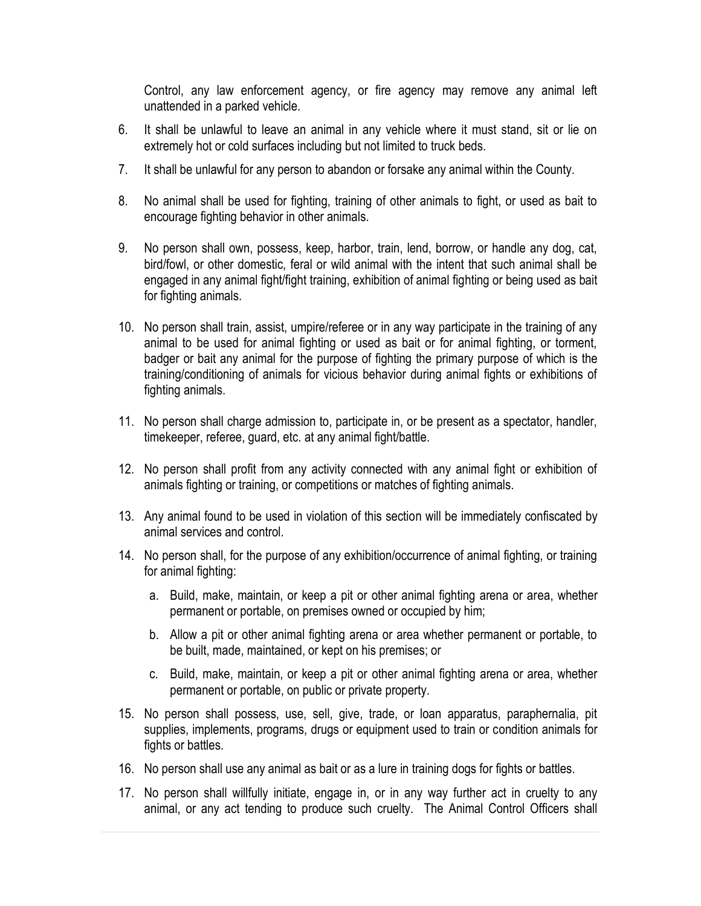Control, any law enforcement agency, or fire agency may remove any animal left unattended in a parked vehicle.

- 6. It shall be unlawful to leave an animal in any vehicle where it must stand, sit or lie on extremely hot or cold surfaces including but not limited to truck beds.
- 7. It shall be unlawful for any person to abandon or forsake any animal within the County.
- 8. No animal shall be used for fighting, training of other animals to fight, or used as bait to encourage fighting behavior in other animals.
- 9. No person shall own, possess, keep, harbor, train, lend, borrow, or handle any dog, cat, bird/fowl, or other domestic, feral or wild animal with the intent that such animal shall be engaged in any animal fight/fight training, exhibition of animal fighting or being used as bait for fighting animals.
- 10. No person shall train, assist, umpire/referee or in any way participate in the training of any animal to be used for animal fighting or used as bait or for animal fighting, or torment, badger or bait any animal for the purpose of fighting the primary purpose of which is the training/conditioning of animals for vicious behavior during animal fights or exhibitions of fighting animals.
- 11. No person shall charge admission to, participate in, or be present as a spectator, handler, timekeeper, referee, guard, etc. at any animal fight/battle.
- 12. No person shall profit from any activity connected with any animal fight or exhibition of animals fighting or training, or competitions or matches of fighting animals.
- 13. Any animal found to be used in violation of this section will be immediately confiscated by animal services and control.
- 14. No person shall, for the purpose of any exhibition/occurrence of animal fighting, or training for animal fighting:
	- a. Build, make, maintain, or keep a pit or other animal fighting arena or area, whether permanent or portable, on premises owned or occupied by him;
	- b. Allow a pit or other animal fighting arena or area whether permanent or portable, to be built, made, maintained, or kept on his premises; or
	- c. Build, make, maintain, or keep a pit or other animal fighting arena or area, whether permanent or portable, on public or private property.
- 15. No person shall possess, use, sell, give, trade, or loan apparatus, paraphernalia, pit supplies, implements, programs, drugs or equipment used to train or condition animals for fights or battles.
- 16. No person shall use any animal as bait or as a lure in training dogs for fights or battles.
- 17. No person shall willfully initiate, engage in, or in any way further act in cruelty to any animal, or any act tending to produce such cruelty. The Animal Control Officers shall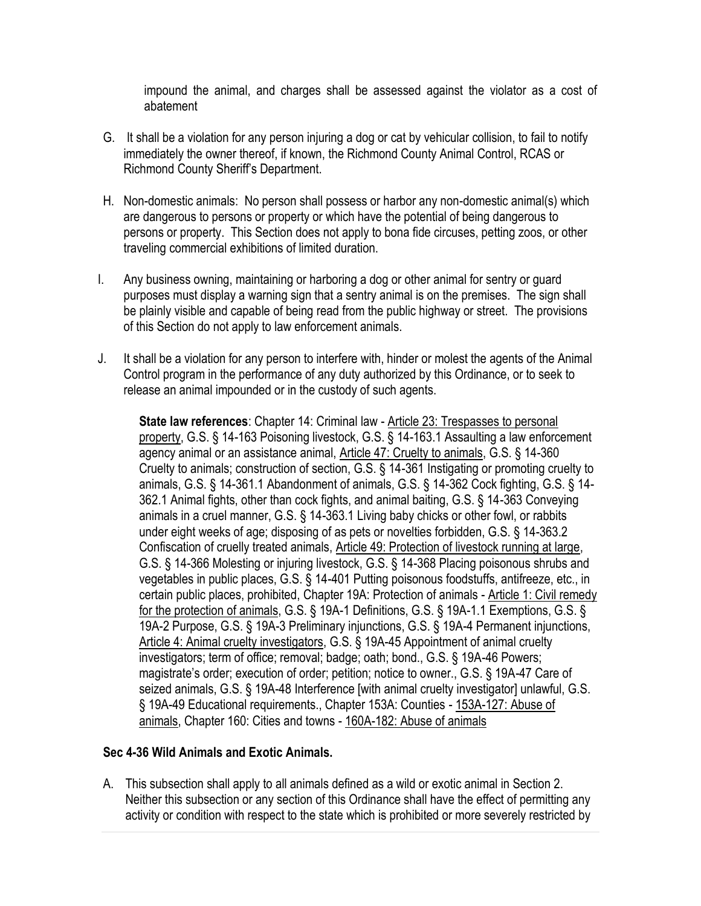impound the animal, and charges shall be assessed against the violator as a cost of abatement

- G. It shall be a violation for any person injuring a dog or cat by vehicular collision, to fail to notify immediately the owner thereof, if known, the Richmond County Animal Control, RCAS or Richmond County Sheriff's Department.
- H. Non-domestic animals: No person shall possess or harbor any non-domestic animal(s) which are dangerous to persons or property or which have the potential of being dangerous to persons or property. This Section does not apply to bona fide circuses, petting zoos, or other traveling commercial exhibitions of limited duration.
- I. Any business owning, maintaining or harboring a dog or other animal for sentry or guard purposes must display a warning sign that a sentry animal is on the premises. The sign shall be plainly visible and capable of being read from the public highway or street. The provisions of this Section do not apply to law enforcement animals.
- J. It shall be a violation for any person to interfere with, hinder or molest the agents of the Animal Control program in the performance of any duty authorized by this Ordinance, or to seek to release an animal impounded or in the custody of such agents.

**State law references**: Chapter 14: Criminal law - [Article 23: Trespasses to personal](http://www.ncga.state.nc.us/EnactedLegislation/Statutes/HTML/ByArticle/Chapter_14/Article_23.html)  [property,](http://www.ncga.state.nc.us/EnactedLegislation/Statutes/HTML/ByArticle/Chapter_14/Article_23.html) G.S. § 14-163 Poisoning livestock, G.S. § 14-163.1 Assaulting a law enforcement agency animal or an assistance animal, [Article 47: Cruelty to animals,](http://www.ncga.state.nc.us/EnactedLegislation/Statutes/HTML/ByArticle/Chapter_14/Article_47.html) G.S. § 14-360 Cruelty to animals; construction of section, G.S. § 14-361 Instigating or promoting cruelty to animals, G.S. § 14-361.1 Abandonment of animals, G.S. § 14-362 Cock fighting, G.S. § 14- 362.1 Animal fights, other than cock fights, and animal baiting, G.S. § 14-363 Conveying animals in a cruel manner, G.S. § 14-363.1 Living baby chicks or other fowl, or rabbits under eight weeks of age; disposing of as pets or novelties forbidden, G.S. § 14-363.2 Confiscation of cruelly treated animals, [Article 49: Protection of livestock running at large,](http://www.ncga.state.nc.us/EnactedLegislation/Statutes/HTML/ByArticle/Chapter_14/Article_49.html) G.S. § 14-366 Molesting or injuring livestock, G.S. § 14-368 Placing poisonous shrubs and vegetables in public places, G.S. § 14-401 Putting poisonous foodstuffs, antifreeze, etc., in certain public places, prohibited, Chapter 19A: Protection of animals - [Article 1: Civil remedy](http://www.ncga.state.nc.us/EnactedLegislation/Statutes/HTML/ByArticle/Chapter_19A/Article_1.html)  [for the protection of animals,](http://www.ncga.state.nc.us/EnactedLegislation/Statutes/HTML/ByArticle/Chapter_19A/Article_1.html) G.S. § 19A-1 Definitions, G.S. § 19A-1.1 Exemptions, G.S. § 19A-2 Purpose, G.S. § 19A-3 Preliminary injunctions, G.S. § 19A-4 Permanent injunctions, [Article 4: Animal cruelty investigators,](http://www.ncga.state.nc.us/EnactedLegislation/Statutes/HTML/ByArticle/Chapter_19A/Article_4.html) G.S. § 19A-45 Appointment of animal cruelty investigators; term of office; removal; badge; oath; bond., G.S. § 19A-46 Powers; magistrate's order; execution of order; petition; notice to owner., G.S. § 19A-47 Care of seized animals, G.S. § 19A-48 Interference [with animal cruelty investigator] unlawful, G.S. § 19A-49 Educational requirements., Chapter 153A: Counties - [153A-127: Abuse of](http://www.ncga.state.nc.us/EnactedLegislation/Statutes/HTML/BySection/Chapter_153A/GS_153A-127.html)  [animals,](http://www.ncga.state.nc.us/EnactedLegislation/Statutes/HTML/BySection/Chapter_153A/GS_153A-127.html) Chapter 160: Cities and towns - [160A-182: Abuse of animals](http://www.ncga.state.nc.us/EnactedLegislation/Statutes/HTML/BySection/Chapter_160A/GS_160A-182.html)

### **Sec 4-36 Wild Animals and Exotic Animals.**

A. This subsection shall apply to all animals defined as a wild or exotic animal in Section 2. Neither this subsection or any section of this Ordinance shall have the effect of permitting any activity or condition with respect to the state which is prohibited or more severely restricted by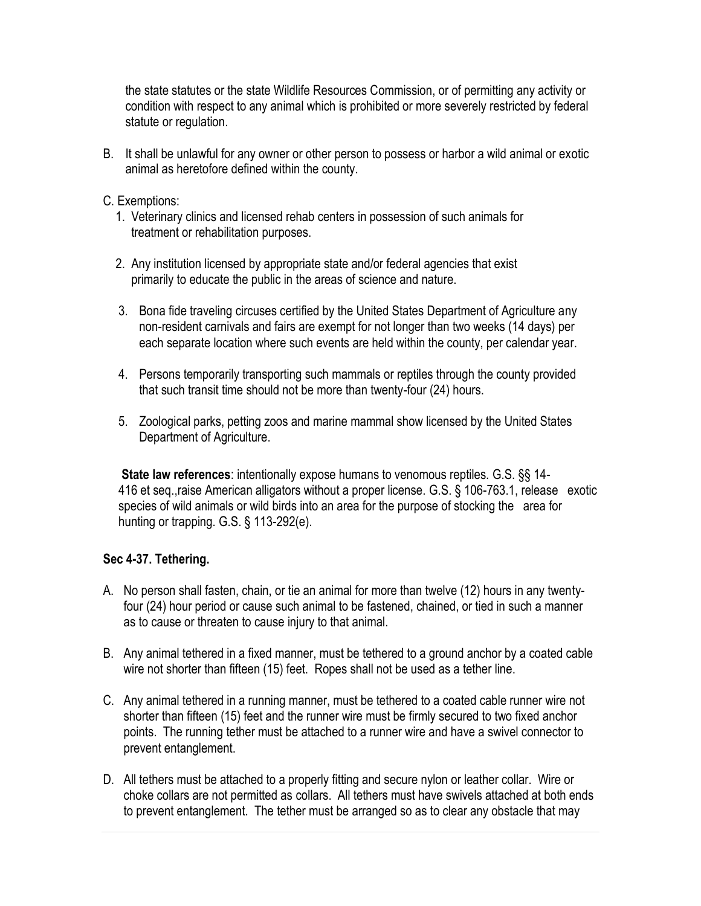the state statutes or the state Wildlife Resources Commission, or of permitting any activity or condition with respect to any animal which is prohibited or more severely restricted by federal statute or regulation.

B. It shall be unlawful for any owner or other person to possess or harbor a wild animal or exotic animal as heretofore defined within the county.

#### C. Exemptions:

- 1. Veterinary clinics and licensed rehab centers in possession of such animals for treatment or rehabilitation purposes.
- 2. Any institution licensed by appropriate state and/or federal agencies that exist primarily to educate the public in the areas of science and nature.
- 3. Bona fide traveling circuses certified by the United States Department of Agriculture any non-resident carnivals and fairs are exempt for not longer than two weeks (14 days) per each separate location where such events are held within the county, per calendar year.
- 4. Persons temporarily transporting such mammals or reptiles through the county provided that such transit time should not be more than twenty-four (24) hours.
- 5. Zoological parks, petting zoos and marine mammal show licensed by the United States Department of Agriculture.

**State law references**: intentionally expose humans to venomous reptiles. [G.S. §§ 14-](http://www.ncga.state.nc.us/EnactedLegislation/Statutes/HTML/BySection/Chapter_14/GS_14-416.html)  [416 et seq.,](http://www.ncga.state.nc.us/EnactedLegislation/Statutes/HTML/BySection/Chapter_14/GS_14-416.html)raise American alligators without a proper license. [G.S. § 106-763.1,](http://www.ncga.state.nc.us/EnactedLegislation/Statutes/HTML/BySection/Chapter_106/GS_106-763.1.html) release exotic species of wild animals or wild birds into an area for the purpose of stocking the area for hunting or trapping. [G.S. § 113-292\(e\).](http://www.ncga.state.nc.us/EnactedLegislation/Statutes/HTML/BySection/Chapter_113/GS_113-292.html)

### **Sec 4-37. Tethering.**

- A. No person shall fasten, chain, or tie an animal for more than twelve (12) hours in any twentyfour (24) hour period or cause such animal to be fastened, chained, or tied in such a manner as to cause or threaten to cause injury to that animal.
- B. Any animal tethered in a fixed manner, must be tethered to a ground anchor by a coated cable wire not shorter than fifteen (15) feet. Ropes shall not be used as a tether line.
- C. Any animal tethered in a running manner, must be tethered to a coated cable runner wire not shorter than fifteen (15) feet and the runner wire must be firmly secured to two fixed anchor points. The running tether must be attached to a runner wire and have a swivel connector to prevent entanglement.
- D. All tethers must be attached to a properly fitting and secure nylon or leather collar. Wire or choke collars are not permitted as collars. All tethers must have swivels attached at both ends to prevent entanglement. The tether must be arranged so as to clear any obstacle that may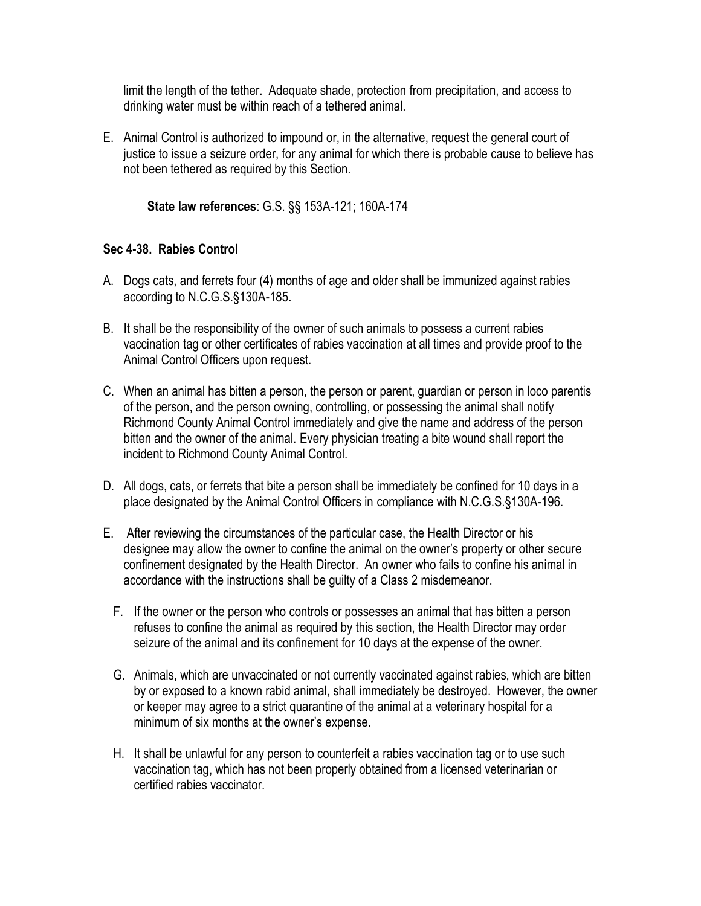limit the length of the tether. Adequate shade, protection from precipitation, and access to drinking water must be within reach of a tethered animal.

E. Animal Control is authorized to impound or, in the alternative, request the general court of justice to issue a seizure order, for any animal for which there is probable cause to believe has not been tethered as required by this Section.

**State law references**: G.S. §§ 153A-121; 160A-174

### **Sec 4-38. Rabies Control**

- A. Dogs cats, and ferrets four (4) months of age and older shall be immunized against rabies according to N.C.G.S.§130A-185.
- B. It shall be the responsibility of the owner of such animals to possess a current rabies vaccination tag or other certificates of rabies vaccination at all times and provide proof to the Animal Control Officers upon request.
- C. When an animal has bitten a person, the person or parent, guardian or person in loco parentis of the person, and the person owning, controlling, or possessing the animal shall notify Richmond County Animal Control immediately and give the name and address of the person bitten and the owner of the animal. Every physician treating a bite wound shall report the incident to Richmond County Animal Control.
- D. All dogs, cats, or ferrets that bite a person shall be immediately be confined for 10 days in a place designated by the Animal Control Officers in compliance with N.C.G.S.§130A-196.
- E. After reviewing the circumstances of the particular case, the Health Director or his designee may allow the owner to confine the animal on the owner's property or other secure confinement designated by the Health Director. An owner who fails to confine his animal in accordance with the instructions shall be guilty of a Class 2 misdemeanor.
	- F. If the owner or the person who controls or possesses an animal that has bitten a person refuses to confine the animal as required by this section, the Health Director may order seizure of the animal and its confinement for 10 days at the expense of the owner.
	- G. Animals, which are unvaccinated or not currently vaccinated against rabies, which are bitten by or exposed to a known rabid animal, shall immediately be destroyed. However, the owner or keeper may agree to a strict quarantine of the animal at a veterinary hospital for a minimum of six months at the owner's expense.
	- H. It shall be unlawful for any person to counterfeit a rabies vaccination tag or to use such vaccination tag, which has not been properly obtained from a licensed veterinarian or certified rabies vaccinator.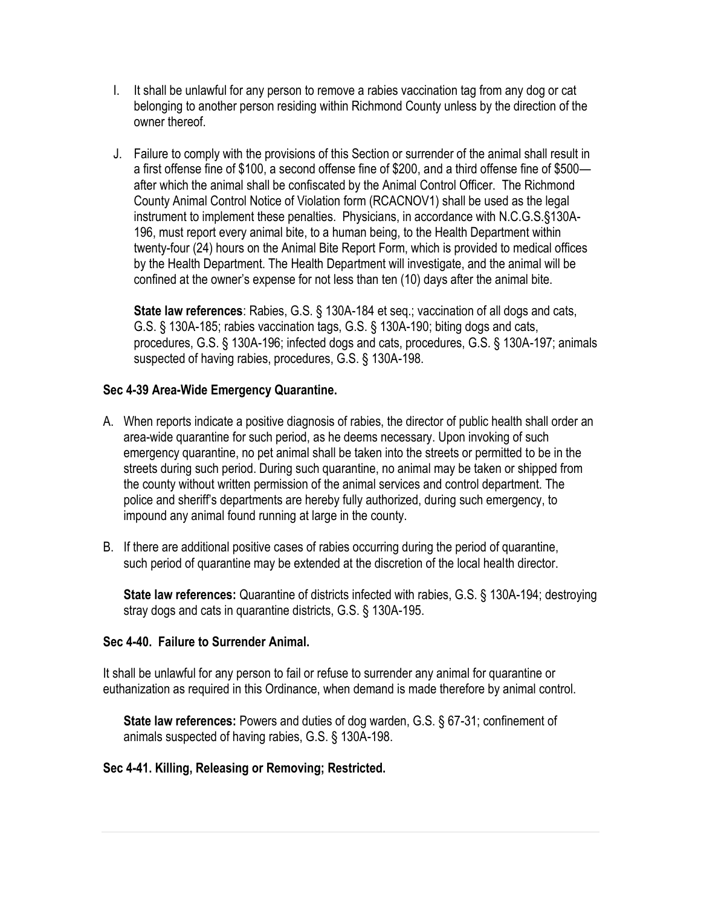- I. It shall be unlawful for any person to remove a rabies vaccination tag from any dog or cat belonging to another person residing within Richmond County unless by the direction of the owner thereof.
- J. Failure to comply with the provisions of this Section or surrender of the animal shall result in a first offense fine of \$100, a second offense fine of \$200, and a third offense fine of \$500 after which the animal shall be confiscated by the Animal Control Officer. The Richmond County Animal Control Notice of Violation form (RCACNOV1) shall be used as the legal instrument to implement these penalties. Physicians, in accordance with N.C.G.S.§130A-196, must report every animal bite, to a human being, to the Health Department within twenty-four (24) hours on the Animal Bite Report Form, which is provided to medical offices by the Health Department. The Health Department will investigate, and the animal will be confined at the owner's expense for not less than ten (10) days after the animal bite.

**State law references**: Rabies, G.S. § 130A-184 et seq.; vaccination of all dogs and cats, G.S. § 130A-185; rabies vaccination tags, G.S. § 130A-190; biting dogs and cats, procedures, G.S. § 130A-196; infected dogs and cats, procedures, G.S. § 130A-197; animals suspected of having rabies, procedures, G.S. § 130A-198.

### **Sec 4-39 Area-Wide Emergency Quarantine.**

- A. When reports indicate a positive diagnosis of rabies, the director of public health shall order an area-wide quarantine for such period, as he deems necessary. Upon invoking of such emergency quarantine, no pet animal shall be taken into the streets or permitted to be in the streets during such period. During such quarantine, no animal may be taken or shipped from the county without written permission of the animal services and control department. The police and sheriff's departments are hereby fully authorized, during such emergency, to impound any animal found running at large in the county.
- B. If there are additional positive cases of rabies occurring during the period of quarantine, such period of quarantine may be extended at the discretion of the local health director.

**State law references:** Quarantine of districts infected with rabies, G.S. § 130A-194; destroying stray dogs and cats in quarantine districts, G.S. § 130A-195.

### **Sec 4-40. Failure to Surrender Animal.**

It shall be unlawful for any person to fail or refuse to surrender any animal for quarantine or euthanization as required in this Ordinance, when demand is made therefore by animal control.

**State law references:** Powers and duties of dog warden, G.S. § 67-31; confinement of animals suspected of having rabies, G.S. § 130A-198.

### **Sec 4-41. Killing, Releasing or Removing; Restricted.**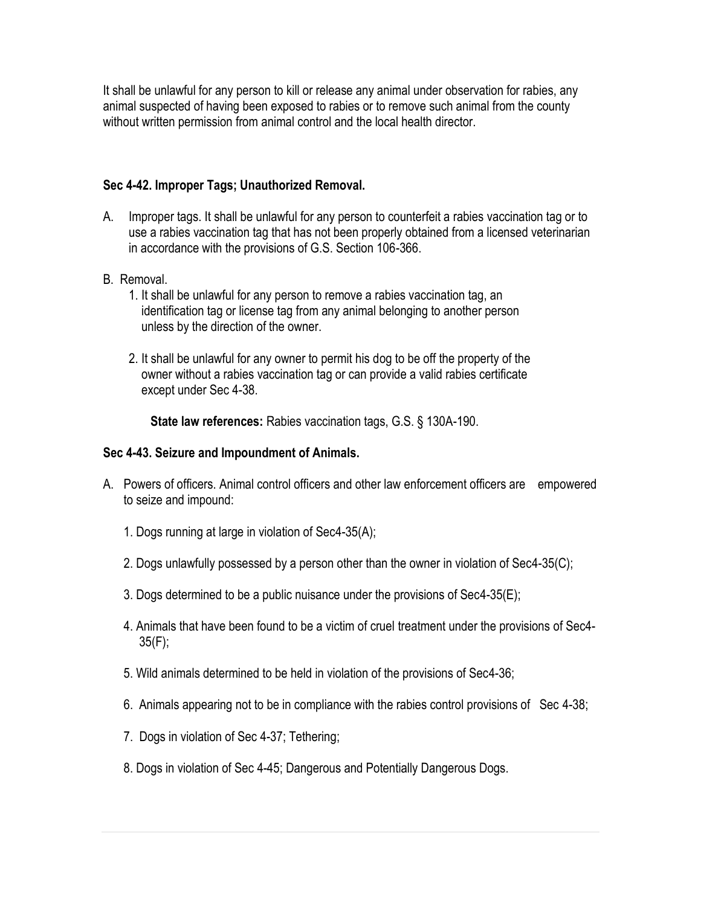It shall be unlawful for any person to kill or release any animal under observation for rabies, any animal suspected of having been exposed to rabies or to remove such animal from the county without written permission from animal control and the local health director.

### **Sec 4-42. Improper Tags; Unauthorized Removal.**

- A. Improper tags. It shall be unlawful for any person to counterfeit a rabies vaccination tag or to use a rabies vaccination tag that has not been properly obtained from a licensed veterinarian in accordance with the provisions of G.S. Section 106-366.
- B. Removal.
	- 1. It shall be unlawful for any person to remove a rabies vaccination tag, an identification tag or license tag from any animal belonging to another person unless by the direction of the owner.
	- 2. It shall be unlawful for any owner to permit his dog to be off the property of the owner without a rabies vaccination tag or can provide a valid rabies certificate except under Sec 4-38.

 **State law references:** Rabies vaccination tags, G.S. § 130A-190.

# **Sec 4-43. Seizure and Impoundment of Animals.**

- A. Powers of officers. Animal control officers and other law enforcement officers are empowered to seize and impound:
	- 1. Dogs running at large in violation of Sec4-35(A);
	- 2. Dogs unlawfully possessed by a person other than the owner in violation of Sec4-35(C);
	- 3. Dogs determined to be a public nuisance under the provisions of Sec4-35(E);
	- 4. Animals that have been found to be a victim of cruel treatment under the provisions of Sec4-  $35(F)$ ;
	- 5. Wild animals determined to be held in violation of the provisions of Sec4-36;
	- 6. Animals appearing not to be in compliance with the rabies control provisions of Sec 4-38;
	- 7. Dogs in violation of Sec 4-37; Tethering;
	- 8. Dogs in violation of Sec 4-45; Dangerous and Potentially Dangerous Dogs.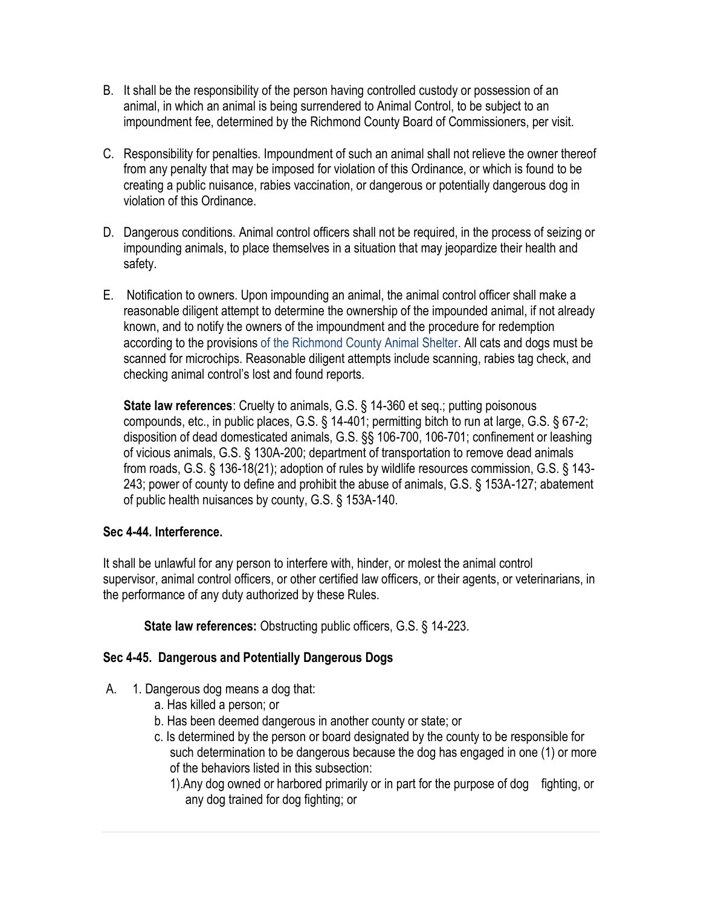- B. It shall be the responsibility of the person having controlled custody or possession of an animal, in which an animal is being surrendered to Animal Control, to be subject to an impoundment fee, determined by the Richmond County Board of Commissioners, per visit.
- C. Responsibility for penalties. Impoundment of such an animal shall not relieve the owner thereof from any penalty that may be imposed for violation of this Ordinance, or which is found to be creating a public nuisance, rabies vaccination, or dangerous or potentially dangerous dog in violation of this Ordinance.
- D. Dangerous conditions. Animal control officers shall not be required, in the process of seizing or impounding animals, to place themselves in a situation that may jeopardize their health and safety.
- E. Notification to owners. Upon impounding an animal, the animal control officer shall make a reasonable diligent attempt to determine the ownership of the impounded animal, if not already known, and to notify the owners of the impoundment and the procedure for redemption according to the provisions of the Richmond County Animal Shelter. All cats and dogs must be scanned for microchips. Reasonable diligent attempts include scanning, rabies tag check, and checking animal control's lost and found reports.

**State law references**: Cruelty to animals, G.S. § 14-360 et seq.; putting poisonous compounds, etc., in public places, G.S. § 14-401; permitting bitch to run at large, G.S. § 67-2; disposition of dead domesticated animals, G.S. §§ 106-700, 106-701; confinement or leashing of vicious animals, G.S. § 130A-200; department of transportation to remove dead animals from roads, G.S. § 136-18(21); adoption of rules by wildlife resources commission, G.S. § 143- 243; power of county to define and prohibit the abuse of animals, G.S. § 153A-127; abatement of public health nuisances by county, G.S. § 153A-140.

### **Sec 4-44. Interference.**

It shall be unlawful for any person to interfere with, hinder, or molest the animal control supervisor, animal control officers, or other certified law officers, or their agents, or veterinarians, in the performance of any duty authorized by these Rules.

**State law references:** Obstructing public officers, G.S. § 14-223.

### **Sec 4-45. Dangerous and Potentially Dangerous Dogs**

- A. 1. Dangerous dog means a dog that:
	- a. Has killed a person; or
	- b. Has been deemed dangerous in another county or state; or
	- c. Is determined by the person or board designated by the county to be responsible for such determination to be dangerous because the dog has engaged in one (1) or more of the behaviors listed in this subsection:
		- 1).Any dog owned or harbored primarily or in part for the purpose of dog fighting, or any dog trained for dog fighting; or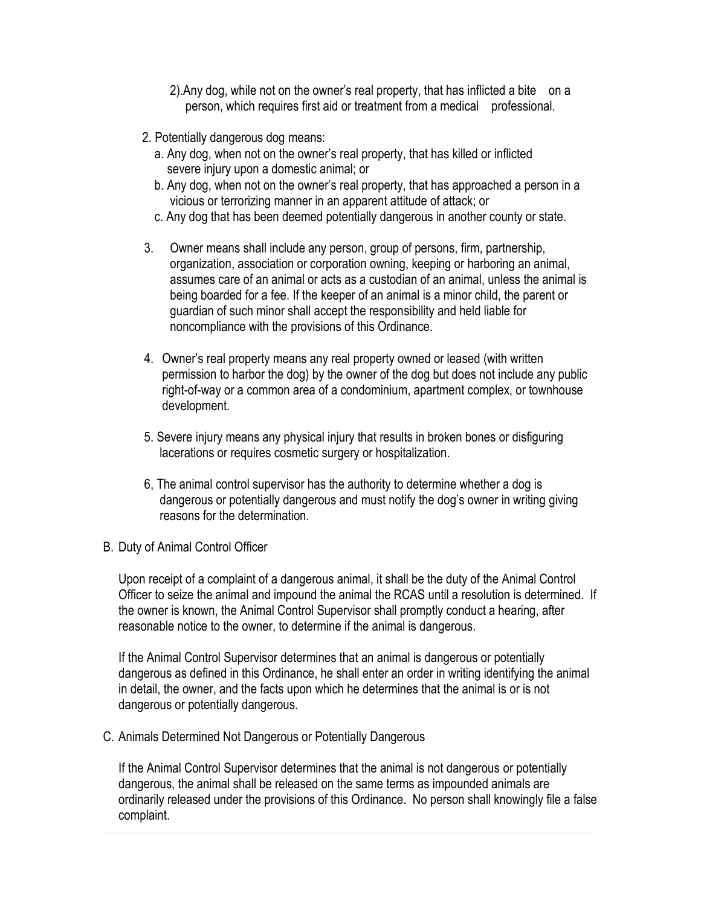- 2).Any dog, while not on the owner's real property, that has inflicted a bite on a person, which requires first aid or treatment from a medical professional.
- 2. Potentially dangerous dog means:
	- a. Any dog, when not on the owner's real property, that has killed or inflicted severe injury upon a domestic animal; or
	- b. Any dog, when not on the owner's real property, that has approached a person in a vicious or terrorizing manner in an apparent attitude of attack; or
	- c. Any dog that has been deemed potentially dangerous in another county or state.
- 3. Owner means shall include any person, group of persons, firm, partnership, organization, association or corporation owning, keeping or harboring an animal, assumes care of an animal or acts as a custodian of an animal, unless the animal is being boarded for a fee. If the keeper of an animal is a minor child, the parent or guardian of such minor shall accept the responsibility and held liable for noncompliance with the provisions of this Ordinance.
- 4. Owner's real property means any real property owned or leased (with written permission to harbor the dog) by the owner of the dog but does not include any public right-of-way or a common area of a condominium, apartment complex, or townhouse development.
- 5. Severe injury means any physical injury that results in broken bones or disfiguring lacerations or requires cosmetic surgery or hospitalization.
- 6, The animal control supervisor has the authority to determine whether a dog is dangerous or potentially dangerous and must notify the dog's owner in writing giving reasons for the determination.
- B. Duty of Animal Control Officer

Upon receipt of a complaint of a dangerous animal, it shall be the duty of the Animal Control Officer to seize the animal and impound the animal the RCAS until a resolution is determined. If the owner is known, the Animal Control Supervisor shall promptly conduct a hearing, after reasonable notice to the owner, to determine if the animal is dangerous.

If the Animal Control Supervisor determines that an animal is dangerous or potentially dangerous as defined in this Ordinance, he shall enter an order in writing identifying the animal in detail, the owner, and the facts upon which he determines that the animal is or is not dangerous or potentially dangerous.

C. Animals Determined Not Dangerous or Potentially Dangerous

If the Animal Control Supervisor determines that the animal is not dangerous or potentially dangerous, the animal shall be released on the same terms as impounded animals are ordinarily released under the provisions of this Ordinance. No person shall knowingly file a false complaint.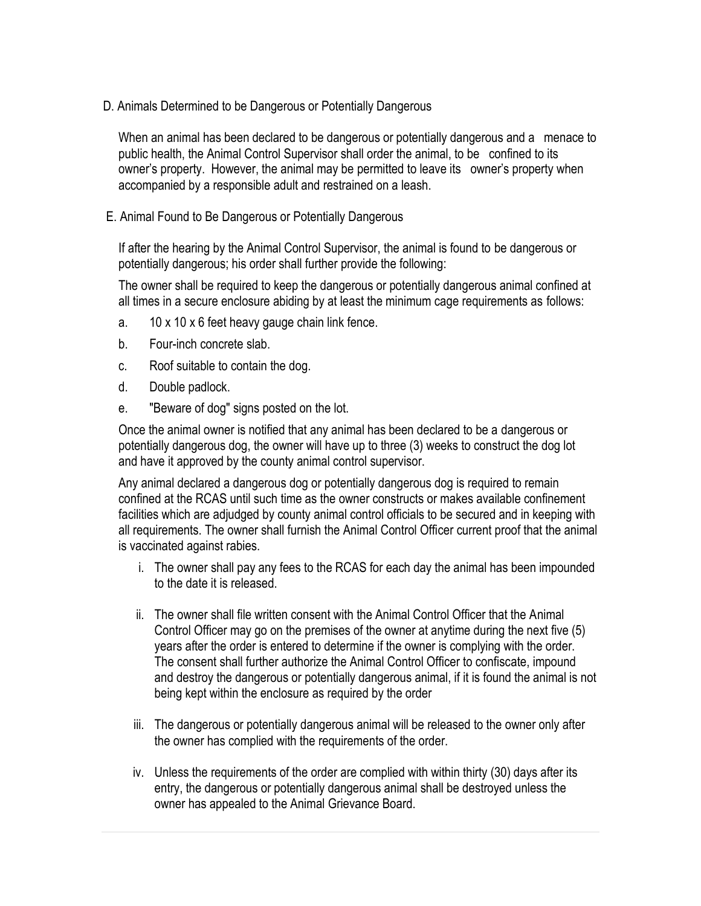D. Animals Determined to be Dangerous or Potentially Dangerous

When an animal has been declared to be dangerous or potentially dangerous and a menace to public health, the Animal Control Supervisor shall order the animal, to be confined to its owner's property. However, the animal may be permitted to leave its owner's property when accompanied by a responsible adult and restrained on a leash.

E. Animal Found to Be Dangerous or Potentially Dangerous

If after the hearing by the Animal Control Supervisor, the animal is found to be dangerous or potentially dangerous; his order shall further provide the following:

The owner shall be required to keep the dangerous or potentially dangerous animal confined at all times in a secure enclosure abiding by at least the minimum cage requirements as follows:

- a. 10 x 10 x 6 feet heavy gauge chain link fence.
- b. Four-inch concrete slab.
- c. Roof suitable to contain the dog.
- d. Double padlock.
- e. "Beware of dog" signs posted on the lot.

Once the animal owner is notified that any animal has been declared to be a dangerous or potentially dangerous dog, the owner will have up to three (3) weeks to construct the dog lot and have it approved by the county animal control supervisor.

Any animal declared a dangerous dog or potentially dangerous dog is required to remain confined at the RCAS until such time as the owner constructs or makes available confinement facilities which are adjudged by county animal control officials to be secured and in keeping with all requirements. The owner shall furnish the Animal Control Officer current proof that the animal is vaccinated against rabies.

- i. The owner shall pay any fees to the RCAS for each day the animal has been impounded to the date it is released.
- ii. The owner shall file written consent with the Animal Control Officer that the Animal Control Officer may go on the premises of the owner at anytime during the next five (5) years after the order is entered to determine if the owner is complying with the order. The consent shall further authorize the Animal Control Officer to confiscate, impound and destroy the dangerous or potentially dangerous animal, if it is found the animal is not being kept within the enclosure as required by the order
- iii. The dangerous or potentially dangerous animal will be released to the owner only after the owner has complied with the requirements of the order.
- iv. Unless the requirements of the order are complied with within thirty (30) days after its entry, the dangerous or potentially dangerous animal shall be destroyed unless the owner has appealed to the Animal Grievance Board.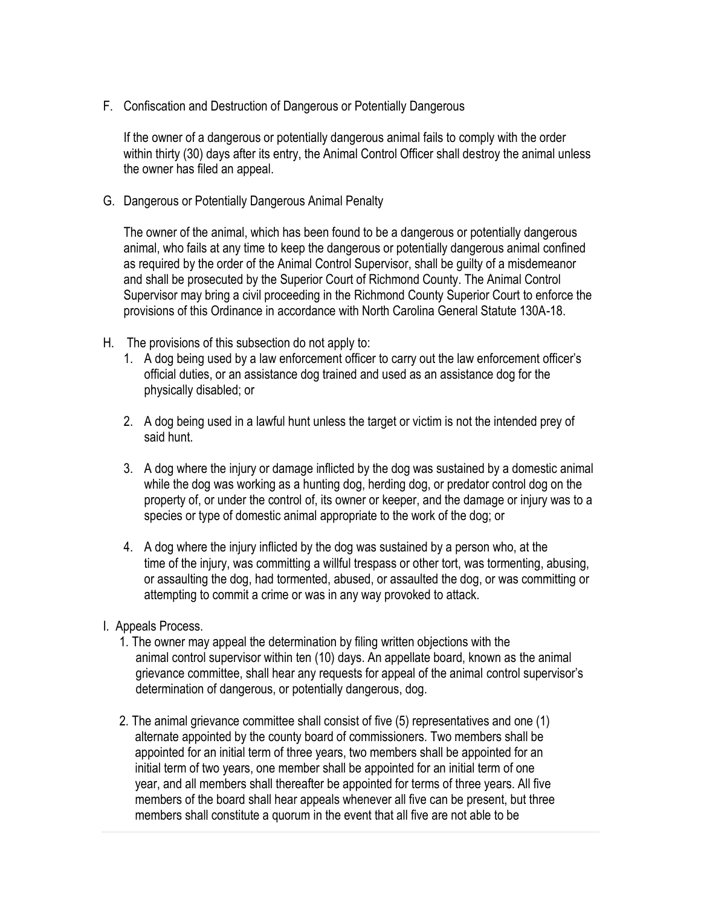F. Confiscation and Destruction of Dangerous or Potentially Dangerous

If the owner of a dangerous or potentially dangerous animal fails to comply with the order within thirty (30) days after its entry, the Animal Control Officer shall destroy the animal unless the owner has filed an appeal.

G. Dangerous or Potentially Dangerous Animal Penalty

The owner of the animal, which has been found to be a dangerous or potentially dangerous animal, who fails at any time to keep the dangerous or potentially dangerous animal confined as required by the order of the Animal Control Supervisor, shall be guilty of a misdemeanor and shall be prosecuted by the Superior Court of Richmond County. The Animal Control Supervisor may bring a civil proceeding in the Richmond County Superior Court to enforce the provisions of this Ordinance in accordance with North Carolina General Statute 130A-18.

- H. The provisions of this subsection do not apply to:
	- 1. A dog being used by a law enforcement officer to carry out the law enforcement officer's official duties, or an assistance dog trained and used as an assistance dog for the physically disabled; or
	- 2. A dog being used in a lawful hunt unless the target or victim is not the intended prey of said hunt.
	- 3. A dog where the injury or damage inflicted by the dog was sustained by a domestic animal while the dog was working as a hunting dog, herding dog, or predator control dog on the property of, or under the control of, its owner or keeper, and the damage or injury was to a species or type of domestic animal appropriate to the work of the dog; or
	- 4. A dog where the injury inflicted by the dog was sustained by a person who, at the time of the injury, was committing a willful trespass or other tort, was tormenting, abusing, or assaulting the dog, had tormented, abused, or assaulted the dog, or was committing or attempting to commit a crime or was in any way provoked to attack.
- I. Appeals Process.
	- 1. The owner may appeal the determination by filing written objections with the animal control supervisor within ten (10) days. An appellate board, known as the animal grievance committee, shall hear any requests for appeal of the animal control supervisor's determination of dangerous, or potentially dangerous, dog.
	- 2. The animal grievance committee shall consist of five (5) representatives and one (1) alternate appointed by the county board of commissioners. Two members shall be appointed for an initial term of three years, two members shall be appointed for an initial term of two years, one member shall be appointed for an initial term of one year, and all members shall thereafter be appointed for terms of three years. All five members of the board shall hear appeals whenever all five can be present, but three members shall constitute a quorum in the event that all five are not able to be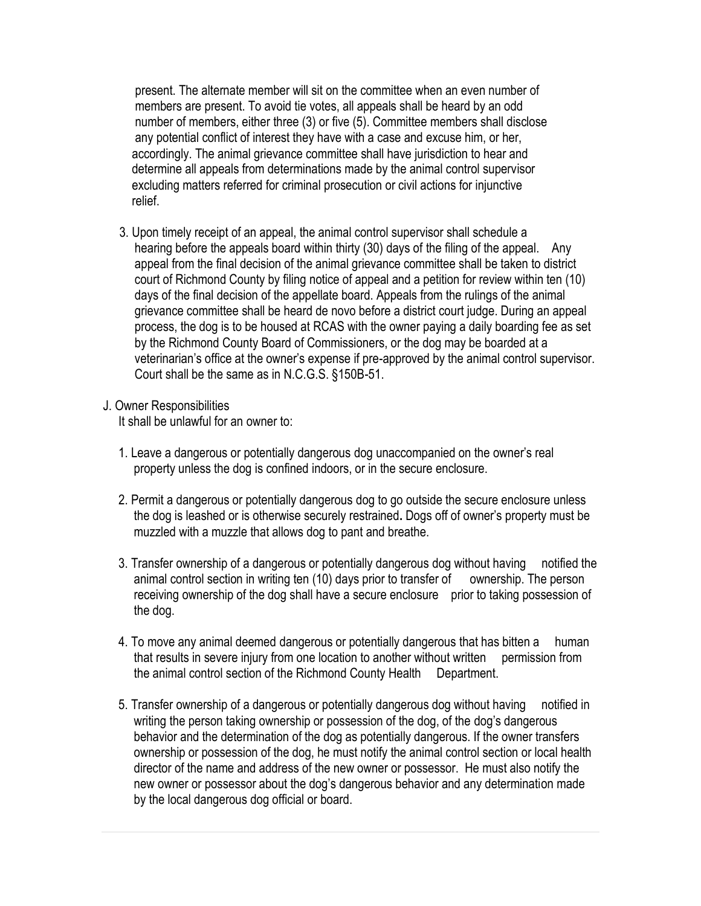present. The alternate member will sit on the committee when an even number of members are present. To avoid tie votes, all appeals shall be heard by an odd number of members, either three (3) or five (5). Committee members shall disclose any potential conflict of interest they have with a case and excuse him, or her, accordingly. The animal grievance committee shall have jurisdiction to hear and determine all appeals from determinations made by the animal control supervisor excluding matters referred for criminal prosecution or civil actions for injunctive relief.

3. Upon timely receipt of an appeal, the animal control supervisor shall schedule a hearing before the appeals board within thirty (30) days of the filing of the appeal. Any appeal from the final decision of the animal grievance committee shall be taken to district court of Richmond County by filing notice of appeal and a petition for review within ten (10) days of the final decision of the appellate board. Appeals from the rulings of the animal grievance committee shall be heard de novo before a district court judge. During an appeal process, the dog is to be housed at RCAS with the owner paying a daily boarding fee as set by the Richmond County Board of Commissioners, or the dog may be boarded at a veterinarian's office at the owner's expense if pre-approved by the animal control supervisor. Court shall be the same as in N.C.G.S. §150B-51.

#### J. Owner Responsibilities

It shall be unlawful for an owner to:

- 1. Leave a dangerous or potentially dangerous dog unaccompanied on the owner's real property unless the dog is confined indoors, or in the secure enclosure.
- 2. Permit a dangerous or potentially dangerous dog to go outside the secure enclosure unless the dog is leashed or is otherwise securely restrained**.** Dogs off of owner's property must be muzzled with a muzzle that allows dog to pant and breathe.
- 3. Transfer ownership of a dangerous or potentially dangerous dog without having notified the animal control section in writing ten (10) days prior to transfer of ownership. The person receiving ownership of the dog shall have a secure enclosure prior to taking possession of the dog.
- 4. To move any animal deemed dangerous or potentially dangerous that has bitten a human that results in severe injury from one location to another without written permission from the animal control section of the Richmond County Health Department.
- 5. Transfer ownership of a dangerous or potentially dangerous dog without having notified in writing the person taking ownership or possession of the dog, of the dog's dangerous behavior and the determination of the dog as potentially dangerous. If the owner transfers ownership or possession of the dog, he must notify the animal control section or local health director of the name and address of the new owner or possessor. He must also notify the new owner or possessor about the dog's dangerous behavior and any determination made by the local dangerous dog official or board.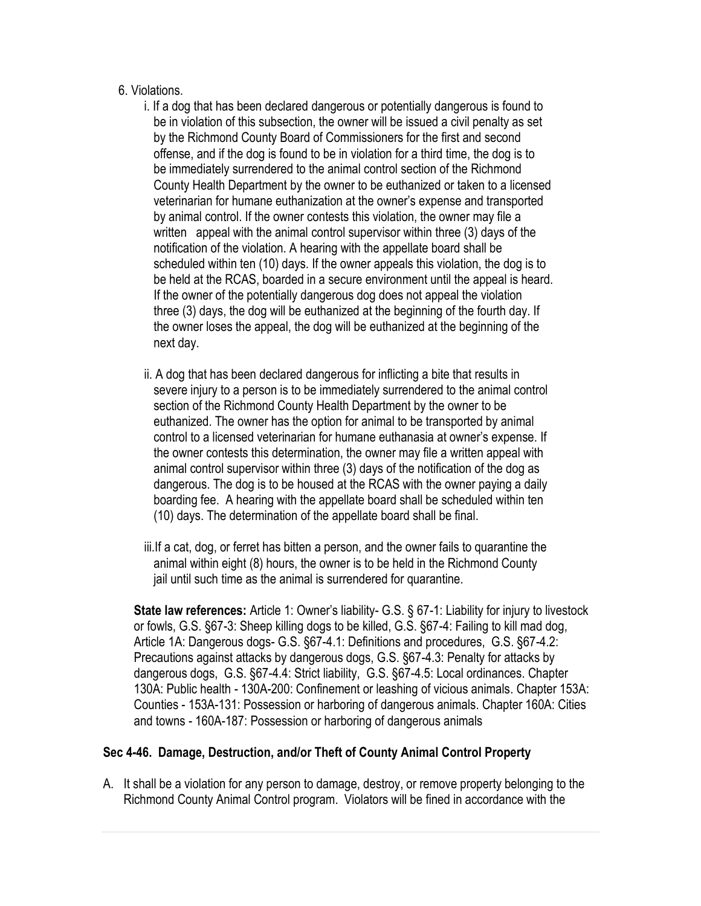#### 6. Violations.

- i. If a dog that has been declared dangerous or potentially dangerous is found to be in violation of this subsection, the owner will be issued a civil penalty as set by the Richmond County Board of Commissioners for the first and second offense, and if the dog is found to be in violation for a third time, the dog is to be immediately surrendered to the animal control section of the Richmond County Health Department by the owner to be euthanized or taken to a licensed veterinarian for humane euthanization at the owner's expense and transported by animal control. If the owner contests this violation, the owner may file a written appeal with the animal control supervisor within three (3) days of the notification of the violation. A hearing with the appellate board shall be scheduled within ten (10) days. If the owner appeals this violation, the dog is to be held at the RCAS, boarded in a secure environment until the appeal is heard. If the owner of the potentially dangerous dog does not appeal the violation three (3) days, the dog will be euthanized at the beginning of the fourth day. If the owner loses the appeal, the dog will be euthanized at the beginning of the next day.
- ii. A dog that has been declared dangerous for inflicting a bite that results in severe injury to a person is to be immediately surrendered to the animal control section of the Richmond County Health Department by the owner to be euthanized. The owner has the option for animal to be transported by animal control to a licensed veterinarian for humane euthanasia at owner's expense. If the owner contests this determination, the owner may file a written appeal with animal control supervisor within three (3) days of the notification of the dog as dangerous. The dog is to be housed at the RCAS with the owner paying a daily boarding fee. A hearing with the appellate board shall be scheduled within ten (10) days. The determination of the appellate board shall be final.
- iii.If a cat, dog, or ferret has bitten a person, and the owner fails to quarantine the animal within eight (8) hours, the owner is to be held in the Richmond County iail until such time as the animal is surrendered for quarantine.

**State law references:** [Article 1: Owner's liability](http://www.ncga.state.nc.us/EnactedLegislation/Statutes/HTML/ByArticle/Chapter_67/Article_1.html)- G.S. § 67-1: Liability for injury to livestock or fowls, G.S. §67-3: Sheep killing dogs to be killed, G.S. §67-4: Failing to kill mad dog, [Article 1A: Dangerous dogs-](http://www.ncga.state.nc.us/EnactedLegislation/Statutes/HTML/ByArticle/Chapter_67/Article_1A.html) G.S. §67-4.1: Definitions and procedures, G.S. §67-4.2: Precautions against attacks by dangerous dogs, G.S. §67-4.3: Penalty for attacks by dangerous dogs, G.S. §67-4.4: Strict liability, G.S. §67-4.5: Local ordinances. Chapter 130A: Public health - [130A-200: Confinement or leashing of vicious animals.](http://www.ncga.state.nc.us/EnactedLegislation/Statutes/HTML/BySection/Chapter_130A/GS_130A-200.html) Chapter 153A: Counties - [153A-131: Possession or harboring of dangerous animals.](http://www.ncga.state.nc.us/EnactedLegislation/Statutes/HTML/BySection/Chapter_153A/GS_153A-131.html) Chapter 160A: Cities and towns - [160A-187: Possession or harboring of dangerous animals](http://www.ncga.state.nc.us/EnactedLegislation/Statutes/HTML/BySection/Chapter_160A/GS_160A-187.html)

### **Sec 4-46. Damage, Destruction, and/or Theft of County Animal Control Property**

A. It shall be a violation for any person to damage, destroy, or remove property belonging to the Richmond County Animal Control program. Violators will be fined in accordance with the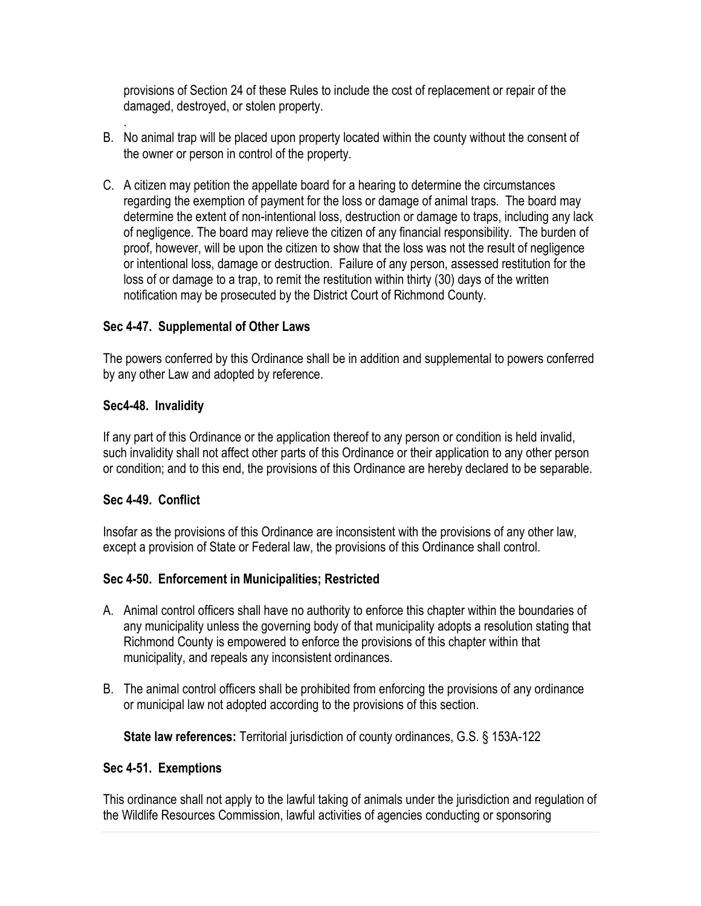provisions of Section 24 of these Rules to include the cost of replacement or repair of the damaged, destroyed, or stolen property.

- B. No animal trap will be placed upon property located within the county without the consent of the owner or person in control of the property.
- C. A citizen may petition the appellate board for a hearing to determine the circumstances regarding the exemption of payment for the loss or damage of animal traps. The board may determine the extent of non-intentional loss, destruction or damage to traps, including any lack of negligence. The board may relieve the citizen of any financial responsibility. The burden of proof, however, will be upon the citizen to show that the loss was not the result of negligence or intentional loss, damage or destruction. Failure of any person, assessed restitution for the loss of or damage to a trap, to remit the restitution within thirty (30) days of the written notification may be prosecuted by the District Court of Richmond County.

### **Sec 4-47. Supplemental of Other Laws**

The powers conferred by this Ordinance shall be in addition and supplemental to powers conferred by any other Law and adopted by reference.

#### **Sec4-48. Invalidity**

.

If any part of this Ordinance or the application thereof to any person or condition is held invalid, such invalidity shall not affect other parts of this Ordinance or their application to any other person or condition; and to this end, the provisions of this Ordinance are hereby declared to be separable.

#### **Sec 4-49. Conflict**

Insofar as the provisions of this Ordinance are inconsistent with the provisions of any other law, except a provision of State or Federal law, the provisions of this Ordinance shall control.

### **Sec 4-50. Enforcement in Municipalities; Restricted**

- A. Animal control officers shall have no authority to enforce this chapter within the boundaries of any municipality unless the governing body of that municipality adopts a resolution stating that Richmond County is empowered to enforce the provisions of this chapter within that municipality, and repeals any inconsistent ordinances.
- B. The animal control officers shall be prohibited from enforcing the provisions of any ordinance or municipal law not adopted according to the provisions of this section.

**State law references:** Territorial jurisdiction of county ordinances, G.S. § 153A-122

#### **Sec 4-51. Exemptions**

This ordinance shall not apply to the lawful taking of animals under the jurisdiction and regulation of the Wildlife Resources Commission, lawful activities of agencies conducting or sponsoring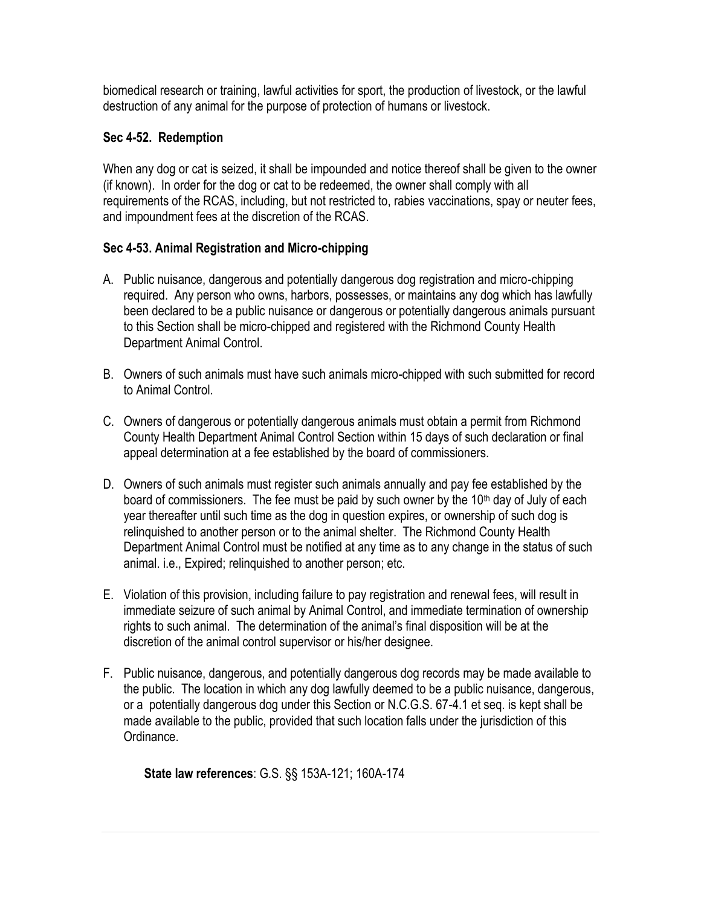biomedical research or training, lawful activities for sport, the production of livestock, or the lawful destruction of any animal for the purpose of protection of humans or livestock.

### **Sec 4-52. Redemption**

When any dog or cat is seized, it shall be impounded and notice thereof shall be given to the owner (if known). In order for the dog or cat to be redeemed, the owner shall comply with all requirements of the RCAS, including, but not restricted to, rabies vaccinations, spay or neuter fees, and impoundment fees at the discretion of the RCAS.

# **Sec 4-53. Animal Registration and Micro-chipping**

- A. Public nuisance, dangerous and potentially dangerous dog registration and micro-chipping required. Any person who owns, harbors, possesses, or maintains any dog which has lawfully been declared to be a public nuisance or dangerous or potentially dangerous animals pursuant to this Section shall be micro-chipped and registered with the Richmond County Health Department Animal Control.
- B. Owners of such animals must have such animals micro-chipped with such submitted for record to Animal Control.
- C. Owners of dangerous or potentially dangerous animals must obtain a permit from Richmond County Health Department Animal Control Section within 15 days of such declaration or final appeal determination at a fee established by the board of commissioners.
- D. Owners of such animals must register such animals annually and pay fee established by the board of commissioners. The fee must be paid by such owner by the 10<sup>th</sup> day of July of each year thereafter until such time as the dog in question expires, or ownership of such dog is relinquished to another person or to the animal shelter. The Richmond County Health Department Animal Control must be notified at any time as to any change in the status of such animal. i.e., Expired; relinquished to another person; etc.
- E. Violation of this provision, including failure to pay registration and renewal fees, will result in immediate seizure of such animal by Animal Control, and immediate termination of ownership rights to such animal. The determination of the animal's final disposition will be at the discretion of the animal control supervisor or his/her designee.
- F. Public nuisance, dangerous, and potentially dangerous dog records may be made available to the public. The location in which any dog lawfully deemed to be a public nuisance, dangerous, or a potentially dangerous dog under this Section or N.C.G.S. 67-4.1 et seq. is kept shall be made available to the public, provided that such location falls under the jurisdiction of this Ordinance.

**State law references**: G.S. §§ 153A-121; 160A-174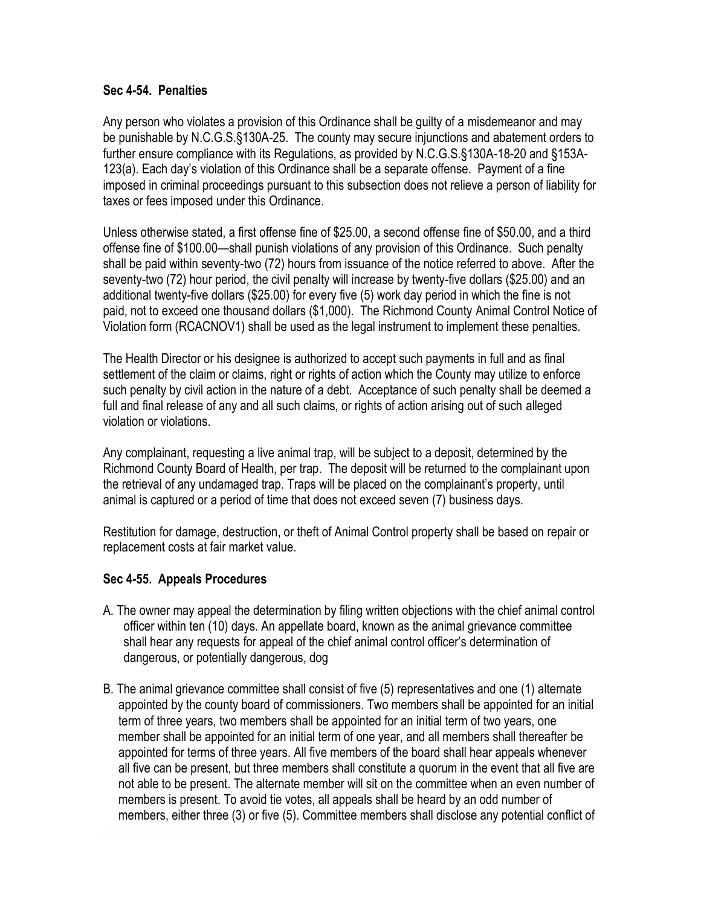#### **Sec 4-54. Penalties**

Any person who violates a provision of this Ordinance shall be guilty of a misdemeanor and may be punishable by N.C.G.S.§130A-25. The county may secure injunctions and abatement orders to further ensure compliance with its Regulations, as provided by N.C.G.S.§130A-18-20 and §153A-123(a). Each day's violation of this Ordinance shall be a separate offense. Payment of a fine imposed in criminal proceedings pursuant to this subsection does not relieve a person of liability for taxes or fees imposed under this Ordinance.

Unless otherwise stated, a first offense fine of \$25.00, a second offense fine of \$50.00, and a third offense fine of \$100.00—shall punish violations of any provision of this Ordinance. Such penalty shall be paid within seventy-two (72) hours from issuance of the notice referred to above. After the seventy-two (72) hour period, the civil penalty will increase by twenty-five dollars (\$25.00) and an additional twenty-five dollars (\$25.00) for every five (5) work day period in which the fine is not paid, not to exceed one thousand dollars (\$1,000). The Richmond County Animal Control Notice of Violation form (RCACNOV1) shall be used as the legal instrument to implement these penalties.

The Health Director or his designee is authorized to accept such payments in full and as final settlement of the claim or claims, right or rights of action which the County may utilize to enforce such penalty by civil action in the nature of a debt. Acceptance of such penalty shall be deemed a full and final release of any and all such claims, or rights of action arising out of such alleged violation or violations.

Any complainant, requesting a live animal trap, will be subject to a deposit, determined by the Richmond County Board of Health, per trap. The deposit will be returned to the complainant upon the retrieval of any undamaged trap. Traps will be placed on the complainant's property, until animal is captured or a period of time that does not exceed seven (7) business days.

Restitution for damage, destruction, or theft of Animal Control property shall be based on repair or replacement costs at fair market value.

### **Sec 4-55. Appeals Procedures**

- A. The owner may appeal the determination by filing written objections with the chief animal control officer within ten (10) days. An appellate board, known as the animal grievance committee shall hear any requests for appeal of the chief animal control officer's determination of dangerous, or potentially dangerous, dog
- B. The animal grievance committee shall consist of five (5) representatives and one (1) alternate appointed by the county board of commissioners. Two members shall be appointed for an initial term of three years, two members shall be appointed for an initial term of two years, one member shall be appointed for an initial term of one year, and all members shall thereafter be appointed for terms of three years. All five members of the board shall hear appeals whenever all five can be present, but three members shall constitute a quorum in the event that all five are not able to be present. The alternate member will sit on the committee when an even number of members is present. To avoid tie votes, all appeals shall be heard by an odd number of members, either three (3) or five (5). Committee members shall disclose any potential conflict of